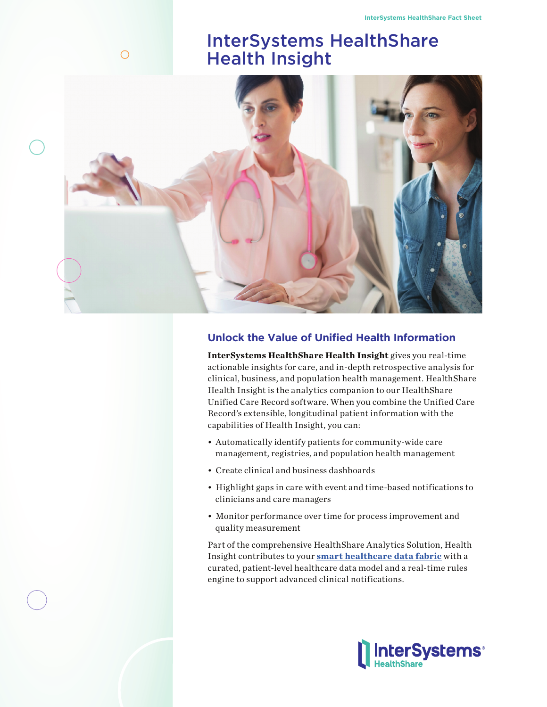# InterSystems HealthShare Health Insight



#### **Unlock the Value of Unified Health Information**

**InterSystems HealthShare Health Insight** gives you real-time actionable insights for care, and in-depth retrospective analysis for clinical, business, and population health management. HealthShare Health Insight is the analytics companion to our HealthShare Unified Care Record software. When you combine the Unified Care Record's extensible, longitudinal patient information with the capabilities of Health Insight, you can:

- Automatically identify patients for community-wide care management, registries, and population health management
- Create clinical and business dashboards
- Highlight gaps in care with event and time-based notifications to clinicians and care managers
- Monitor performance over time for process improvement and quality measurement

Part of the comprehensive HealthShare Analytics Solution, Health Insight contributes to your **smart healthcare data fabric** with a curated, patient-level healthcare data model and a real-time rules engine to support advanced clinical notifications.



 $\bigcirc$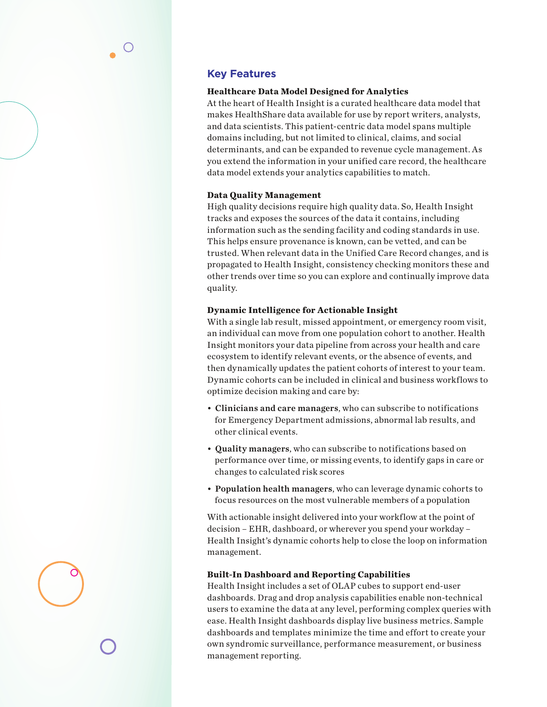### **Healthcare Data Model Designed for Analytics**

j At the heart of Health Insight is a curated healthcare data model that makes HealthShare data available for use by report writers, analysts, and data scientists. This patient-centric data model spans multiple domains including, but not limited to clinical, claims, and social determinants, and can be expanded to revenue cycle management. As you extend the information in your unified care record, the healthcare data model extends your analytics capabilities to match.

#### **Data Quality Management**

High quality decisions require high quality data. So, Health Insight tracks and exposes the sources of the data it contains, including information such as the sending facility and coding standards in use. This helps ensure provenance is known, can be vetted, and can be trusted. When relevant data in the Unified Care Record changes, and is propagated to Health Insight, consistency checking monitors these and other trends over time so you can explore and continually improve data quality.

#### **Dynamic Intelligence for Actionable Insight**

With a single lab result, missed appointment, or emergency room visit, an individual can move from one population cohort to another. Health Insight monitors your data pipeline from across your health and care ecosystem to identify relevant events, or the absence of events, and then dynamically updates the patient cohorts of interest to your team. Dynamic cohorts can be included in clinical and business workflows to optimize decision making and care by:

- Clinicians and care managers, who can subscribe to notifications for Emergency Department admissions, abnormal lab results, and other clinical events.
- Quality managers, who can subscribe to notifications based on performance over time, or missing events, to identify gaps in care or changes to calculated risk scores
- Population health managers, who can leverage dynamic cohorts to focus resources on the most vulnerable members of a population

With actionable insight delivered into your workflow at the point of decision – EHR, dashboard, or wherever you spend your workday – Health Insight's dynamic cohorts help to close the loop on information management.

# **Built-In Dashboard and Reporting Capabilities**

Health Insight includes a set of OLAP cubes to support end-user dashboards. Drag and drop analysis capabilities enable non-technical users to examine the data at any level, performing complex queries with ease. Health Insight dashboards display live business metrics. Sample dashboards and templates minimize the time and effort to create your own syndromic surveillance, performance measurement, or business management reporting.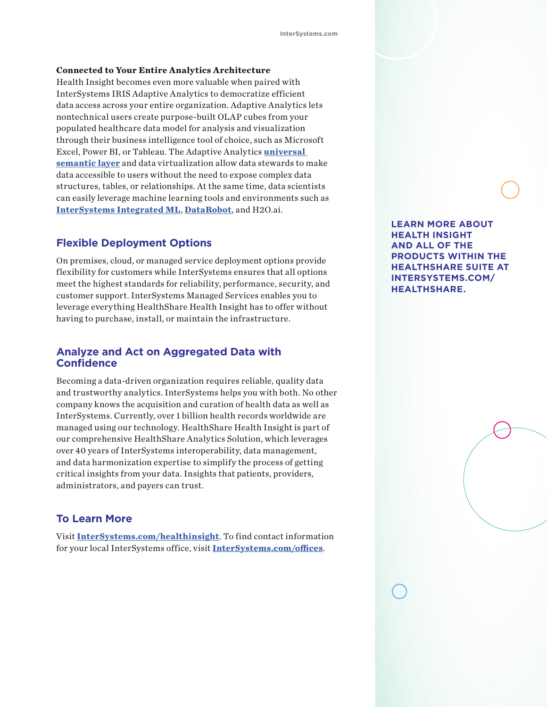#### **Connected to Your Entire Analytics Architecture**

Health Insight becomes even more valuable when paired with InterSystems IRIS Adaptive Analytics to democratize efficient data access across your entire organization. Adaptive Analytics lets nontechnical users create purpose-built OLAP cubes from your populated healthcare data model for analysis and visualization through their business intelligence tool of choice, such as Microsoft Excel, Power BI, or Tableau. The Adaptive Analytics **universal semantic layer** and data virtualization allow data stewards to make data accessible to users without the need to expose complex data structures, tables, or relationships. At the same time, data scientists can easily leverage machine learning tools and environments such as **InterSystems Integrated ML**, **DataRobot**, and H2O.ai.

## **Flexible Deployment Options**

On premises, cloud, or managed service deployment options provide flexibility for customers while InterSystems ensures that all options meet the highest standards for reliability, performance, security, and customer support. InterSystems Managed Services enables you to leverage everything HealthShare Health Insight has to offer without having to purchase, install, or maintain the infrastructure.

# **Analyze and Act on Aggregated Data with Confidence**

Becoming a data-driven organization requires reliable, quality data and trustworthy analytics. InterSystems helps you with both. No other company knows the acquisition and curation of health data as well as InterSystems. Currently, over 1 billion health records worldwide are managed using our technology. HealthShare Health Insight is part of our comprehensive HealthShare Analytics Solution, which leverages over 40 years of InterSystems interoperability, data management, and data harmonization expertise to simplify the process of getting critical insights from your data. Insights that patients, providers, administrators, and payers can trust.

#### **To Learn More**

Visit **InterSystems.com/healthinsight**. To find contact information for your local InterSystems office, visit **InterSystems.com/offices**.

**LEARN MORE ABOUT HEALTH INSIGHT AND ALL OF THE PRODUCTS WITHIN THE HEALTHSHARE SUITE AT INTERSYSTEMS.COM/ HEALTHSHARE.**